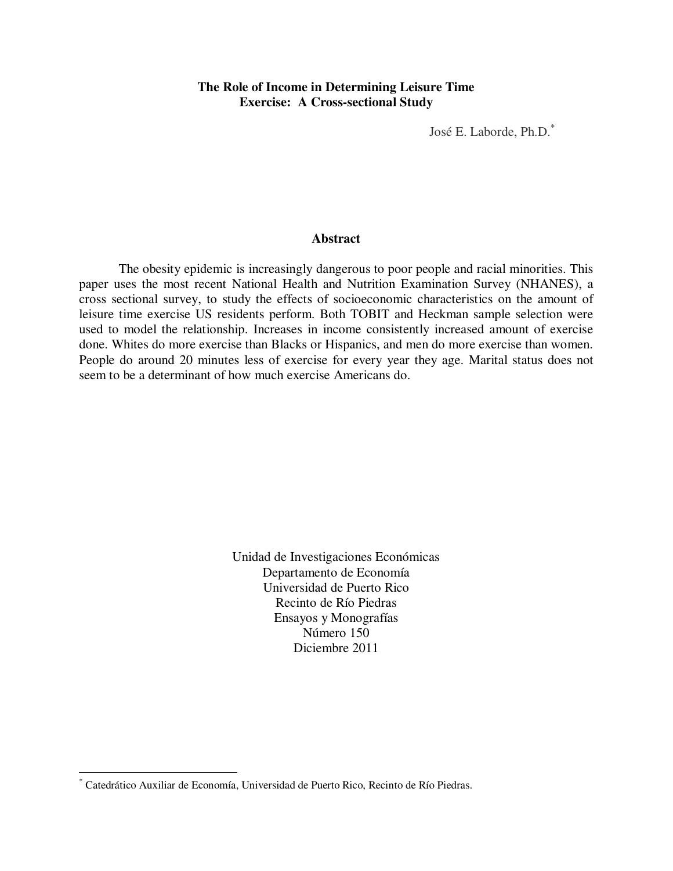## **The Role of Income in Determining Leisure Time Exercise: A Cross-sectional Study**

José E. Laborde, Ph.D.\*

#### **Abstract**

The obesity epidemic is increasingly dangerous to poor people and racial minorities. This paper uses the most recent National Health and Nutrition Examination Survey (NHANES), a cross sectional survey, to study the effects of socioeconomic characteristics on the amount of leisure time exercise US residents perform. Both TOBIT and Heckman sample selection were used to model the relationship. Increases in income consistently increased amount of exercise done. Whites do more exercise than Blacks or Hispanics, and men do more exercise than women. People do around 20 minutes less of exercise for every year they age. Marital status does not seem to be a determinant of how much exercise Americans do.

> Unidad de Investigaciones Económicas Departamento de Economía Universidad de Puerto Rico Recinto de Río Piedras Ensayos y Monografías Número 150 Diciembre 2011

 $\overline{a}$ 

<sup>\*</sup> Catedrático Auxiliar de Economía, Universidad de Puerto Rico, Recinto de Río Piedras.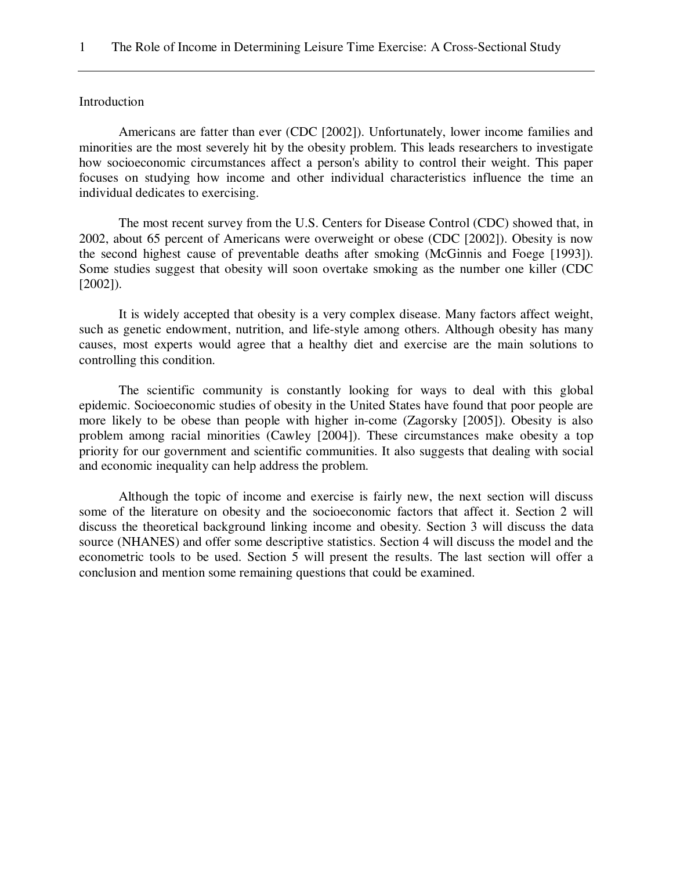#### Introduction

Americans are fatter than ever (CDC [2002]). Unfortunately, lower income families and minorities are the most severely hit by the obesity problem. This leads researchers to investigate how socioeconomic circumstances affect a person's ability to control their weight. This paper focuses on studying how income and other individual characteristics influence the time an individual dedicates to exercising.

The most recent survey from the U.S. Centers for Disease Control (CDC) showed that, in 2002, about 65 percent of Americans were overweight or obese (CDC [2002]). Obesity is now the second highest cause of preventable deaths after smoking (McGinnis and Foege [1993]). Some studies suggest that obesity will soon overtake smoking as the number one killer (CDC [2002]).

It is widely accepted that obesity is a very complex disease. Many factors affect weight, such as genetic endowment, nutrition, and life-style among others. Although obesity has many causes, most experts would agree that a healthy diet and exercise are the main solutions to controlling this condition.

The scientific community is constantly looking for ways to deal with this global epidemic. Socioeconomic studies of obesity in the United States have found that poor people are more likely to be obese than people with higher in-come (Zagorsky [2005]). Obesity is also problem among racial minorities (Cawley [2004]). These circumstances make obesity a top priority for our government and scientific communities. It also suggests that dealing with social and economic inequality can help address the problem.

Although the topic of income and exercise is fairly new, the next section will discuss some of the literature on obesity and the socioeconomic factors that affect it. Section 2 will discuss the theoretical background linking income and obesity. Section 3 will discuss the data source (NHANES) and offer some descriptive statistics. Section 4 will discuss the model and the econometric tools to be used. Section 5 will present the results. The last section will offer a conclusion and mention some remaining questions that could be examined.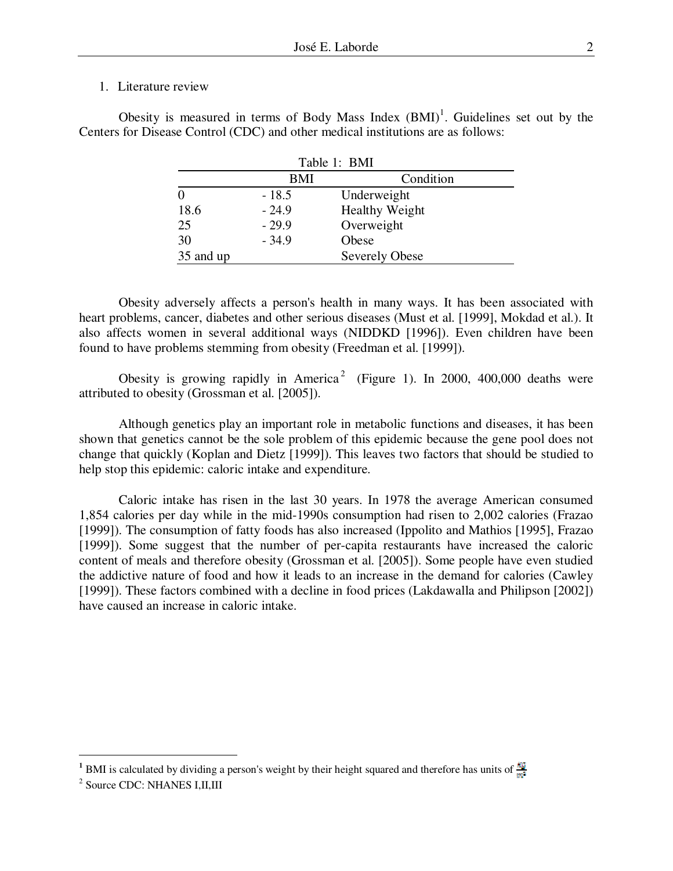#### 1. Literature review

| Table 1: BMI |         |                       |
|--------------|---------|-----------------------|
|              | BMI     | Condition             |
|              | $-18.5$ | Underweight           |
| 18.6         | $-24.9$ | <b>Healthy Weight</b> |
| 25           | $-29.9$ | Overweight            |
| 30           | $-34.9$ | Obese                 |
| 35 and up    |         | <b>Severely Obese</b> |

Obesity is measured in terms of Body Mass Index  $(BMI)^1$ . Guidelines set out by the Centers for Disease Control (CDC) and other medical institutions are as follows:

Obesity adversely affects a person's health in many ways. It has been associated with heart problems, cancer, diabetes and other serious diseases (Must et al. [1999], Mokdad et al.). It also affects women in several additional ways (NIDDKD [1996]). Even children have been found to have problems stemming from obesity (Freedman et al. [1999]).

Obesity is growing rapidly in America<sup>2</sup> (Figure 1). In 2000, 400,000 deaths were attributed to obesity (Grossman et al. [2005]).

Although genetics play an important role in metabolic functions and diseases, it has been shown that genetics cannot be the sole problem of this epidemic because the gene pool does not change that quickly (Koplan and Dietz [1999]). This leaves two factors that should be studied to help stop this epidemic: caloric intake and expenditure.

Caloric intake has risen in the last 30 years. In 1978 the average American consumed 1,854 calories per day while in the mid-1990s consumption had risen to 2,002 calories (Frazao [1999]). The consumption of fatty foods has also increased (Ippolito and Mathios [1995], Frazao [1999]). Some suggest that the number of per-capita restaurants have increased the caloric content of meals and therefore obesity (Grossman et al. [2005]). Some people have even studied the addictive nature of food and how it leads to an increase in the demand for calories (Cawley [1999]). These factors combined with a decline in food prices (Lakdawalla and Philipson [2002]) have caused an increase in caloric intake.

 $\overline{a}$ 

**<sup>1</sup>** BMI is calculated by dividing a person's weight by their height squared and therefore has units of

<sup>&</sup>lt;sup>2</sup> Source CDC: NHANES I,II,III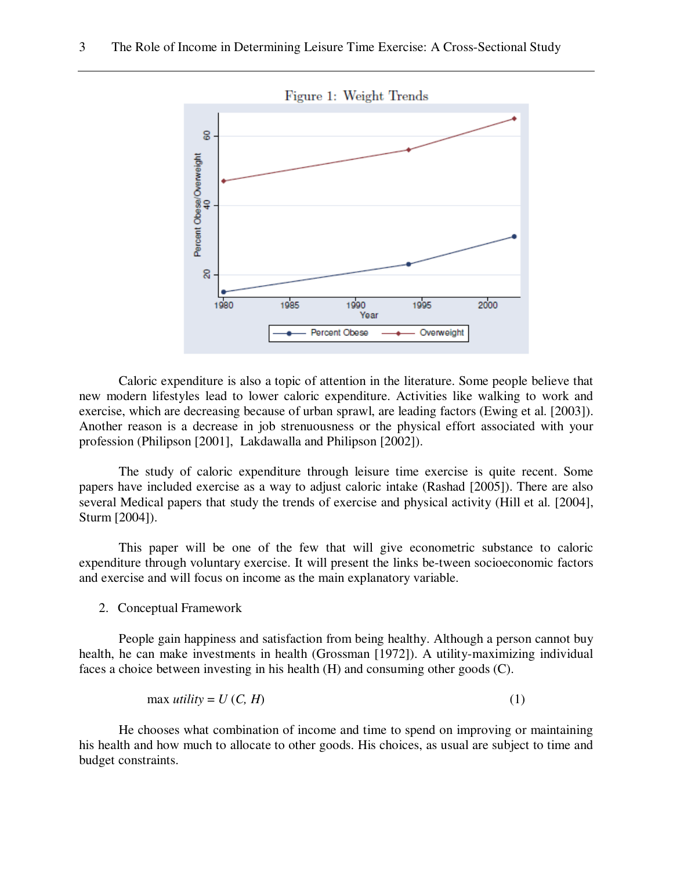

Caloric expenditure is also a topic of attention in the literature. Some people believe that new modern lifestyles lead to lower caloric expenditure. Activities like walking to work and exercise, which are decreasing because of urban sprawl, are leading factors (Ewing et al. [2003]). Another reason is a decrease in job strenuousness or the physical effort associated with your profession (Philipson [2001], Lakdawalla and Philipson [2002]).

The study of caloric expenditure through leisure time exercise is quite recent. Some papers have included exercise as a way to adjust caloric intake (Rashad [2005]). There are also several Medical papers that study the trends of exercise and physical activity (Hill et al. [2004], Sturm [2004]).

This paper will be one of the few that will give econometric substance to caloric expenditure through voluntary exercise. It will present the links be-tween socioeconomic factors and exercise and will focus on income as the main explanatory variable.

2. Conceptual Framework

People gain happiness and satisfaction from being healthy. Although a person cannot buy health, he can make investments in health (Grossman [1972]). A utility-maximizing individual faces a choice between investing in his health (H) and consuming other goods (C).

$$
\max \text{ } utility = U \left( C, H \right) \tag{1}
$$

He chooses what combination of income and time to spend on improving or maintaining his health and how much to allocate to other goods. His choices, as usual are subject to time and budget constraints.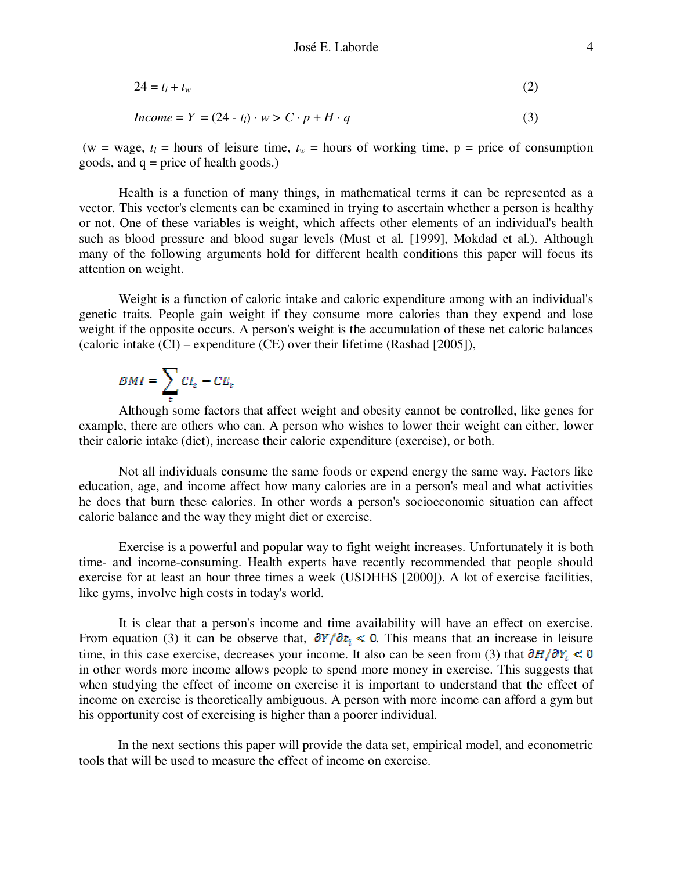$$
24 = t_l + t_w \tag{2}
$$

*Income* =  $Y = (24 - t_i) \cdot w > C \cdot p + H \cdot q$  (3)

(w = wage,  $t_l$  = hours of leisure time,  $t_w$  = hours of working time,  $p$  = price of consumption goods, and  $q = price$  of health goods.)

Health is a function of many things, in mathematical terms it can be represented as a vector. This vector's elements can be examined in trying to ascertain whether a person is healthy or not. One of these variables is weight, which affects other elements of an individual's health such as blood pressure and blood sugar levels (Must et al. [1999], Mokdad et al.). Although many of the following arguments hold for different health conditions this paper will focus its attention on weight.

Weight is a function of caloric intake and caloric expenditure among with an individual's genetic traits. People gain weight if they consume more calories than they expend and lose weight if the opposite occurs. A person's weight is the accumulation of these net caloric balances (caloric intake (CI) – expenditure (CE) over their lifetime (Rashad [2005]),

$$
BMI = \sum_{e} CI_{e} - CE_{e}
$$

Although some factors that affect weight and obesity cannot be controlled, like genes for example, there are others who can. A person who wishes to lower their weight can either, lower their caloric intake (diet), increase their caloric expenditure (exercise), or both.

Not all individuals consume the same foods or expend energy the same way. Factors like education, age, and income affect how many calories are in a person's meal and what activities he does that burn these calories. In other words a person's socioeconomic situation can affect caloric balance and the way they might diet or exercise.

Exercise is a powerful and popular way to fight weight increases. Unfortunately it is both time- and income-consuming. Health experts have recently recommended that people should exercise for at least an hour three times a week (USDHHS [2000]). A lot of exercise facilities, like gyms, involve high costs in today's world.

It is clear that a person's income and time availability will have an effect on exercise. From equation (3) it can be observe that,  $\partial Y/\partial t_i < 0$ . This means that an increase in leisure time, in this case exercise, decreases your income. It also can be seen from (3) that  $\partial H/\partial Y_1 < 0$ in other words more income allows people to spend more money in exercise. This suggests that when studying the effect of income on exercise it is important to understand that the effect of income on exercise is theoretically ambiguous. A person with more income can afford a gym but his opportunity cost of exercising is higher than a poorer individual.

 In the next sections this paper will provide the data set, empirical model, and econometric tools that will be used to measure the effect of income on exercise.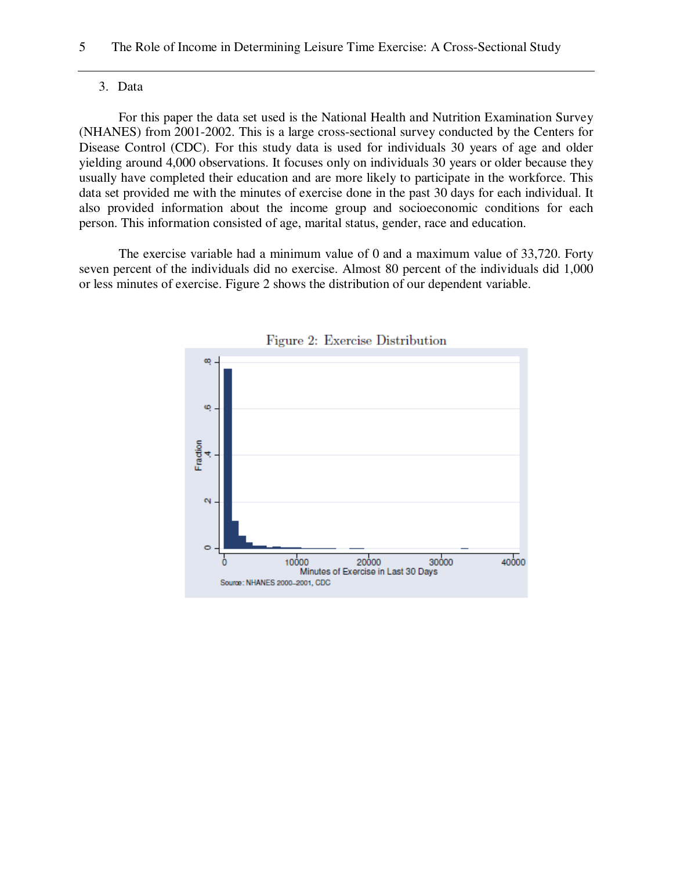#### 3. Data

For this paper the data set used is the National Health and Nutrition Examination Survey (NHANES) from 2001-2002. This is a large cross-sectional survey conducted by the Centers for Disease Control (CDC). For this study data is used for individuals 30 years of age and older yielding around 4,000 observations. It focuses only on individuals 30 years or older because they usually have completed their education and are more likely to participate in the workforce. This data set provided me with the minutes of exercise done in the past 30 days for each individual. It also provided information about the income group and socioeconomic conditions for each person. This information consisted of age, marital status, gender, race and education.

The exercise variable had a minimum value of 0 and a maximum value of 33,720. Forty seven percent of the individuals did no exercise. Almost 80 percent of the individuals did 1,000 or less minutes of exercise. Figure 2 shows the distribution of our dependent variable.



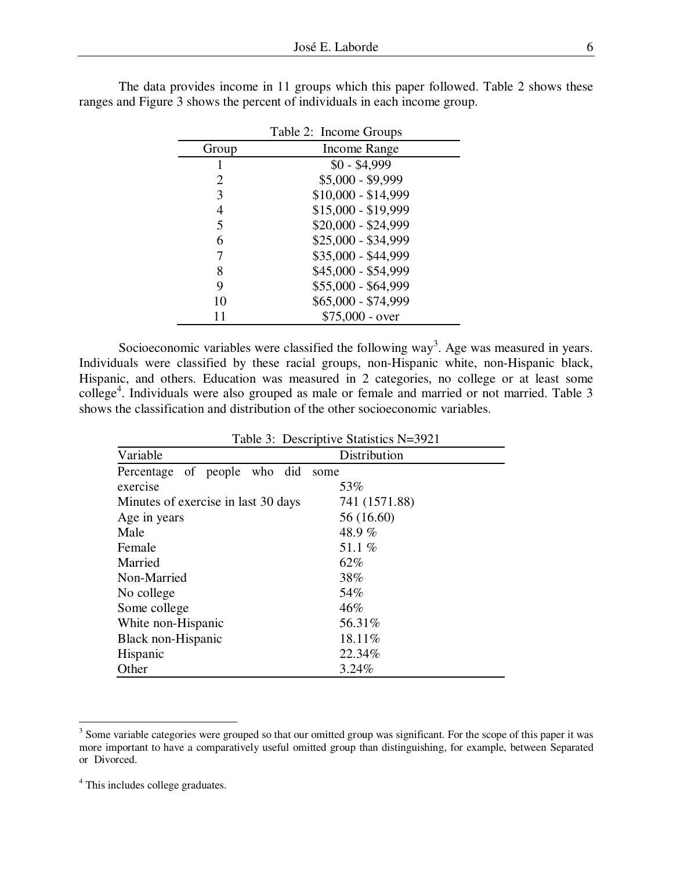|       | Table 2: Income Groups |
|-------|------------------------|
| Group | Income Range           |
|       | $$0 - $4,999$          |
| 2     | $$5,000 - $9,999$      |
| 3     | $$10,000 - $14,999$    |
|       | $$15,000 - $19,999$    |
| 5     | $$20,000 - $24,999$    |
| 6     | \$25,000 - \$34,999    |
|       | \$35,000 - \$44,999    |
| 8     | \$45,000 - \$54,999    |
| 9     | \$55,000 - \$64,999    |
| 10    | \$65,000 - \$74,999    |
| 11    | $$75,000$ - over       |

The data provides income in 11 groups which this paper followed. Table 2 shows these ranges and Figure 3 shows the percent of individuals in each income group.

Socioeconomic variables were classified the following way<sup>3</sup>. Age was measured in years. Individuals were classified by these racial groups, non-Hispanic white, non-Hispanic black, Hispanic, and others. Education was measured in 2 categories, no college or at least some college<sup>4</sup>. Individuals were also grouped as male or female and married or not married. Table 3 shows the classification and distribution of the other socioeconomic variables.

|                                     | Table 3: Descriptive Statistics N=3921 |
|-------------------------------------|----------------------------------------|
| Variable                            | Distribution                           |
| Percentage of people who did        | some                                   |
| exercise                            | 53%                                    |
| Minutes of exercise in last 30 days | 741 (1571.88)                          |
| Age in years                        | 56 (16.60)                             |
| Male                                | 48.9%                                  |
| Female                              | 51.1%                                  |
| Married                             | 62%                                    |
| Non-Married                         | 38%                                    |
| No college                          | 54%                                    |
| Some college                        | 46%                                    |
| White non-Hispanic                  | 56.31%                                 |
| Black non-Hispanic                  | 18.11%                                 |
| Hispanic                            | 22.34%                                 |
| Other                               | 3.24%                                  |

<sup>&</sup>lt;sup>3</sup> Some variable categories were grouped so that our omitted group was significant. For the scope of this paper it was more important to have a comparatively useful omitted group than distinguishing, for example, between Separated or Divorced.

<sup>&</sup>lt;sup>4</sup> This includes college graduates.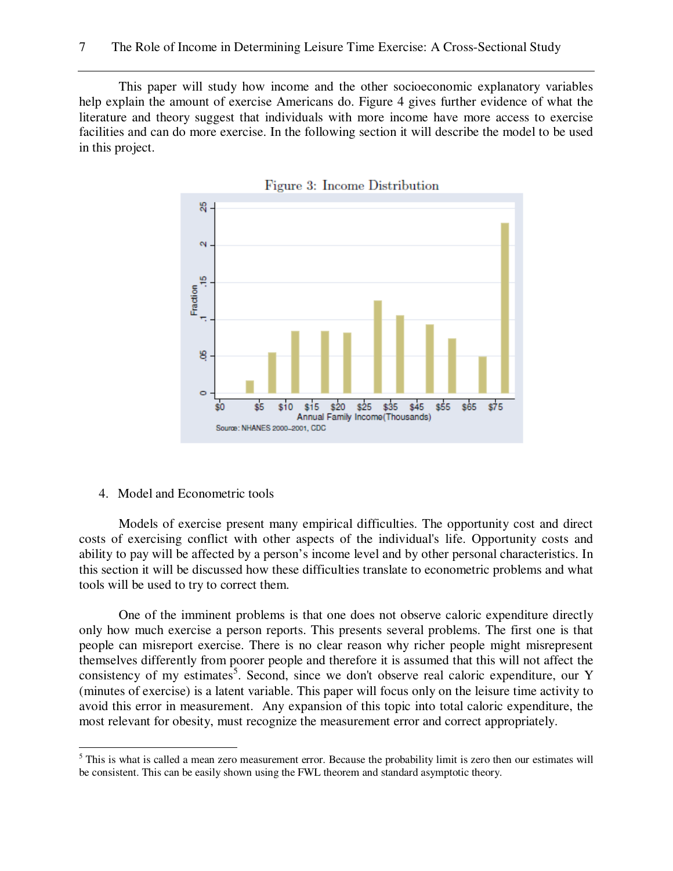This paper will study how income and the other socioeconomic explanatory variables help explain the amount of exercise Americans do. Figure 4 gives further evidence of what the literature and theory suggest that individuals with more income have more access to exercise facilities and can do more exercise. In the following section it will describe the model to be used in this project.





4. Model and Econometric tools

 $\overline{a}$ 

Models of exercise present many empirical difficulties. The opportunity cost and direct costs of exercising conflict with other aspects of the individual's life. Opportunity costs and ability to pay will be affected by a person's income level and by other personal characteristics. In this section it will be discussed how these difficulties translate to econometric problems and what tools will be used to try to correct them.

One of the imminent problems is that one does not observe caloric expenditure directly only how much exercise a person reports. This presents several problems. The first one is that people can misreport exercise. There is no clear reason why richer people might misrepresent themselves differently from poorer people and therefore it is assumed that this will not affect the consistency of my estimates<sup>5</sup>. Second, since we don't observe real caloric expenditure, our Y (minutes of exercise) is a latent variable. This paper will focus only on the leisure time activity to avoid this error in measurement. Any expansion of this topic into total caloric expenditure, the most relevant for obesity, must recognize the measurement error and correct appropriately.

 $<sup>5</sup>$  This is what is called a mean zero measurement error. Because the probability limit is zero then our estimates will</sup> be consistent. This can be easily shown using the FWL theorem and standard asymptotic theory.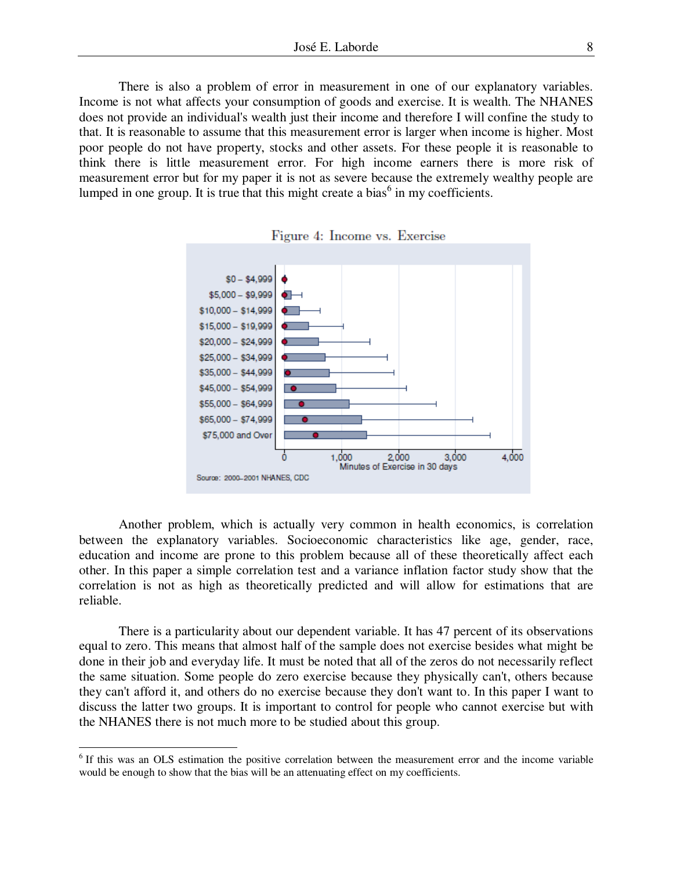There is also a problem of error in measurement in one of our explanatory variables. Income is not what affects your consumption of goods and exercise. It is wealth. The NHANES does not provide an individual's wealth just their income and therefore I will confine the study to that. It is reasonable to assume that this measurement error is larger when income is higher. Most poor people do not have property, stocks and other assets. For these people it is reasonable to think there is little measurement error. For high income earners there is more risk of measurement error but for my paper it is not as severe because the extremely wealthy people are lumped in one group. It is true that this might create a bias $<sup>6</sup>$  in my coefficients.</sup>



Figure 4: Income vs. Exercise

Another problem, which is actually very common in health economics, is correlation between the explanatory variables. Socioeconomic characteristics like age, gender, race, education and income are prone to this problem because all of these theoretically affect each other. In this paper a simple correlation test and a variance inflation factor study show that the correlation is not as high as theoretically predicted and will allow for estimations that are reliable.

There is a particularity about our dependent variable. It has 47 percent of its observations equal to zero. This means that almost half of the sample does not exercise besides what might be done in their job and everyday life. It must be noted that all of the zeros do not necessarily reflect the same situation. Some people do zero exercise because they physically can't, others because they can't afford it, and others do no exercise because they don't want to. In this paper I want to discuss the latter two groups. It is important to control for people who cannot exercise but with the NHANES there is not much more to be studied about this group.

 $\overline{a}$ 

<sup>&</sup>lt;sup>6</sup> If this was an OLS estimation the positive correlation between the measurement error and the income variable would be enough to show that the bias will be an attenuating effect on my coefficients.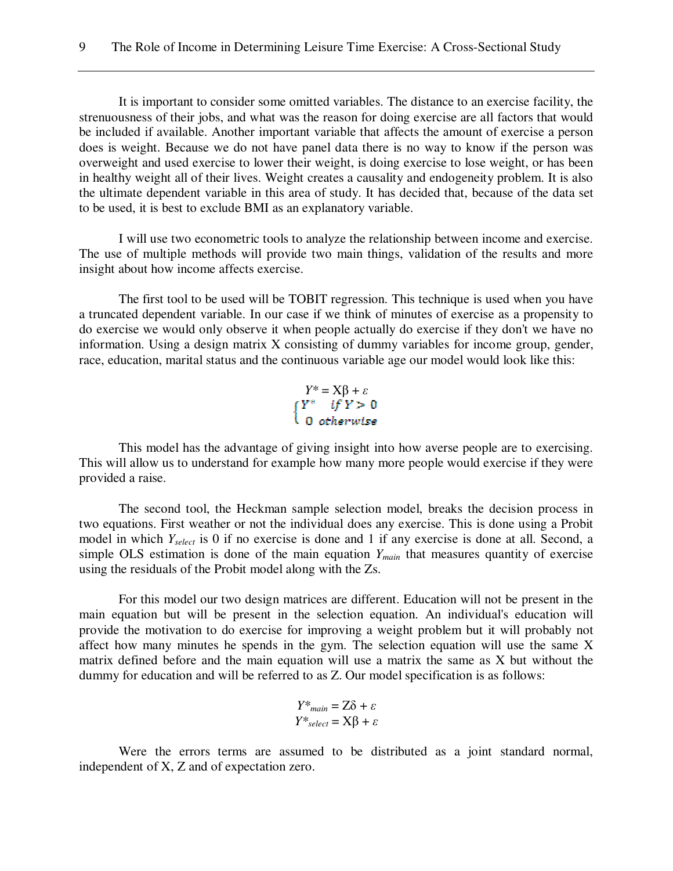It is important to consider some omitted variables. The distance to an exercise facility, the strenuousness of their jobs, and what was the reason for doing exercise are all factors that would be included if available. Another important variable that affects the amount of exercise a person does is weight. Because we do not have panel data there is no way to know if the person was overweight and used exercise to lower their weight, is doing exercise to lose weight, or has been in healthy weight all of their lives. Weight creates a causality and endogeneity problem. It is also the ultimate dependent variable in this area of study. It has decided that, because of the data set to be used, it is best to exclude BMI as an explanatory variable.

I will use two econometric tools to analyze the relationship between income and exercise. The use of multiple methods will provide two main things, validation of the results and more insight about how income affects exercise.

The first tool to be used will be TOBIT regression. This technique is used when you have a truncated dependent variable. In our case if we think of minutes of exercise as a propensity to do exercise we would only observe it when people actually do exercise if they don't we have no information. Using a design matrix X consisting of dummy variables for income group, gender, race, education, marital status and the continuous variable age our model would look like this:

*Y\** =  $X\beta + \varepsilon$ <br>{*Y\* if Y* > 0<br>0 otherwise

This model has the advantage of giving insight into how averse people are to exercising. This will allow us to understand for example how many more people would exercise if they were provided a raise.

The second tool, the Heckman sample selection model, breaks the decision process in two equations. First weather or not the individual does any exercise. This is done using a Probit model in which *Yselect* is 0 if no exercise is done and 1 if any exercise is done at all. Second, a simple OLS estimation is done of the main equation *Ymain* that measures quantity of exercise using the residuals of the Probit model along with the Zs.

For this model our two design matrices are different. Education will not be present in the main equation but will be present in the selection equation. An individual's education will provide the motivation to do exercise for improving a weight problem but it will probably not affect how many minutes he spends in the gym. The selection equation will use the same X matrix defined before and the main equation will use a matrix the same as X but without the dummy for education and will be referred to as Z. Our model specification is as follows:

$$
Y^*_{main} = Z\delta + \varepsilon
$$
  

$$
Y^*_{select} = X\beta + \varepsilon
$$

Were the errors terms are assumed to be distributed as a joint standard normal, independent of X, Z and of expectation zero.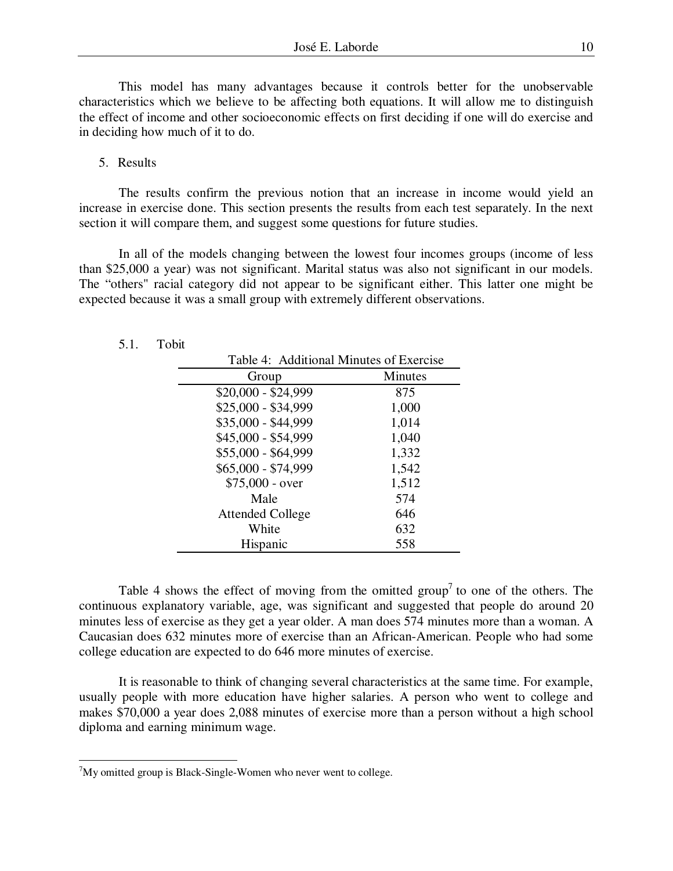This model has many advantages because it controls better for the unobservable characteristics which we believe to be affecting both equations. It will allow me to distinguish the effect of income and other socioeconomic effects on first deciding if one will do exercise and in deciding how much of it to do.

#### 5. Results

5.1. Tobit

 $\overline{a}$ 

The results confirm the previous notion that an increase in income would yield an increase in exercise done. This section presents the results from each test separately. In the next section it will compare them, and suggest some questions for future studies.

In all of the models changing between the lowest four incomes groups (income of less than \$25,000 a year) was not significant. Marital status was also not significant in our models. The "others" racial category did not appear to be significant either. This latter one might be expected because it was a small group with extremely different observations.

| Table 4: Additional Minutes of Exercise |                |
|-----------------------------------------|----------------|
| Group                                   | <b>Minutes</b> |
| $$20,000 - $24,999$                     | 875            |
| \$25,000 - \$34,999                     | 1,000          |
| \$35,000 - \$44,999                     | 1,014          |
| \$45,000 - \$54,999                     | 1,040          |
| \$55,000 - \$64,999                     | 1,332          |
| \$65,000 - \$74,999                     | 1,542          |
| $$75,000 - over$                        | 1,512          |
| Male                                    | 574            |
| <b>Attended College</b>                 | 646            |
| White                                   | 632            |
| Hispanic                                | 558            |

Table 4 shows the effect of moving from the omitted group<sup>7</sup> to one of the others. The continuous explanatory variable, age, was significant and suggested that people do around 20 minutes less of exercise as they get a year older. A man does 574 minutes more than a woman. A Caucasian does 632 minutes more of exercise than an African-American. People who had some college education are expected to do 646 more minutes of exercise.

It is reasonable to think of changing several characteristics at the same time. For example, usually people with more education have higher salaries. A person who went to college and makes \$70,000 a year does 2,088 minutes of exercise more than a person without a high school diploma and earning minimum wage.

 $7$ My omitted group is Black-Single-Women who never went to college.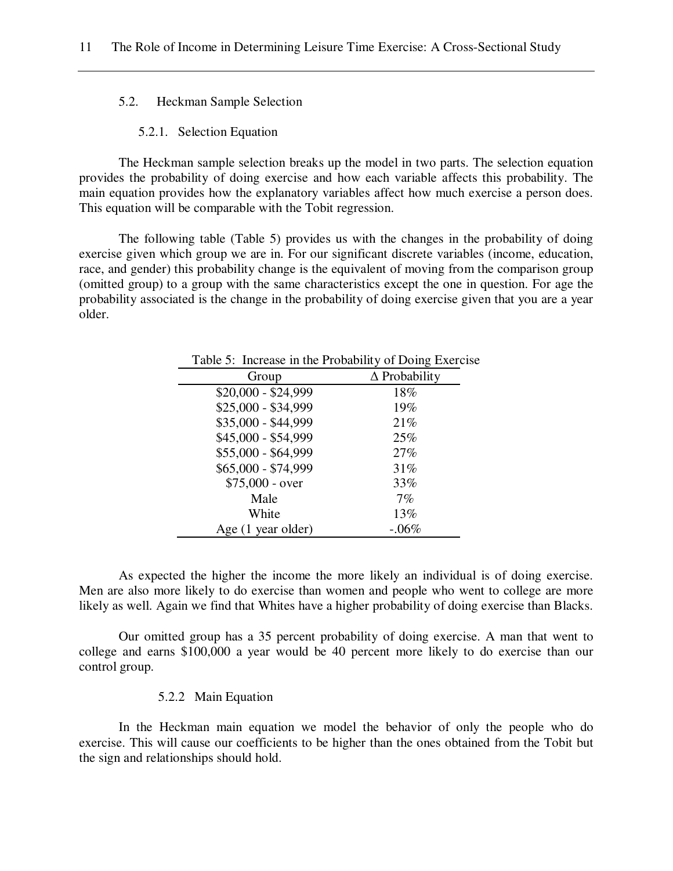5.2. Heckman Sample Selection

#### 5.2.1. Selection Equation

The Heckman sample selection breaks up the model in two parts. The selection equation provides the probability of doing exercise and how each variable affects this probability. The main equation provides how the explanatory variables affect how much exercise a person does. This equation will be comparable with the Tobit regression.

The following table (Table 5) provides us with the changes in the probability of doing exercise given which group we are in. For our significant discrete variables (income, education, race, and gender) this probability change is the equivalent of moving from the comparison group (omitted group) to a group with the same characteristics except the one in question. For age the probability associated is the change in the probability of doing exercise given that you are a year older.

| Lable 5. Hicrease in the Frobability of Doing Exerci |                         |
|------------------------------------------------------|-------------------------|
| Group                                                | $\triangle$ Probability |
| $$20,000 - $24,999$                                  | 18%                     |
| \$25,000 - \$34,999                                  | 19%                     |
| \$35,000 - \$44,999                                  | 21%                     |
| \$45,000 - \$54,999                                  | 25%                     |
| \$55,000 - \$64,999                                  | 27%                     |
| \$65,000 - \$74,999                                  | 31%                     |
| $$75,000 - over$                                     | 33%                     |
| Male                                                 | 7%                      |
| White                                                | 13%                     |
| Age (1 year older)                                   | $-.06\%$                |

Table 5: Increase in the Probability of Doing Exercise

As expected the higher the income the more likely an individual is of doing exercise. Men are also more likely to do exercise than women and people who went to college are more likely as well. Again we find that Whites have a higher probability of doing exercise than Blacks.

Our omitted group has a 35 percent probability of doing exercise. A man that went to college and earns \$100,000 a year would be 40 percent more likely to do exercise than our control group.

# 5.2.2 Main Equation

In the Heckman main equation we model the behavior of only the people who do exercise. This will cause our coefficients to be higher than the ones obtained from the Tobit but the sign and relationships should hold.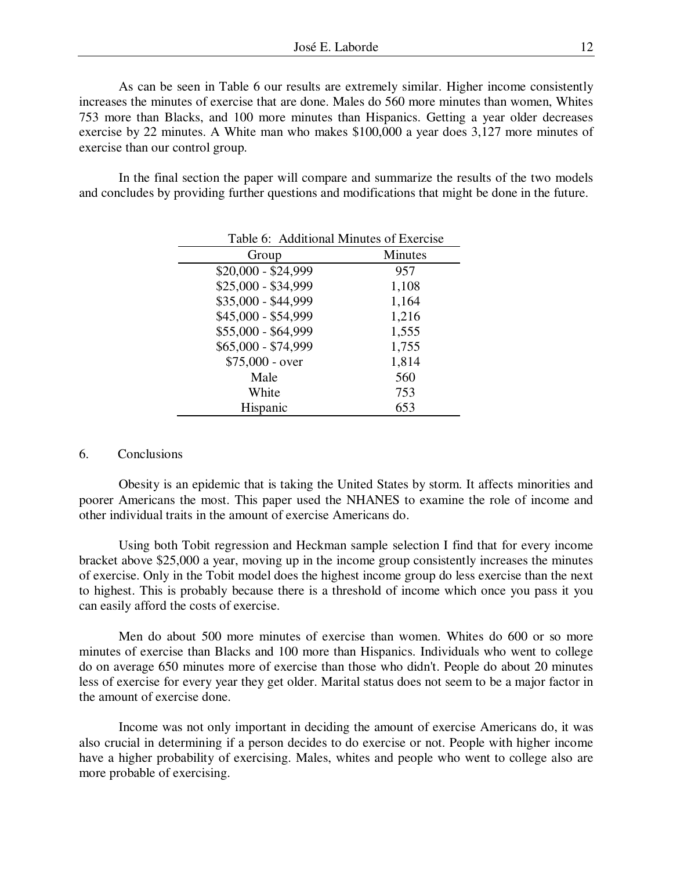As can be seen in Table 6 our results are extremely similar. Higher income consistently increases the minutes of exercise that are done. Males do 560 more minutes than women, Whites 753 more than Blacks, and 100 more minutes than Hispanics. Getting a year older decreases exercise by 22 minutes. A White man who makes \$100,000 a year does 3,127 more minutes of exercise than our control group.

In the final section the paper will compare and summarize the results of the two models and concludes by providing further questions and modifications that might be done in the future.

| Table 6: Additional Minutes of Exercise |                |
|-----------------------------------------|----------------|
| Group                                   | <b>Minutes</b> |
| $$20,000 - $24,999$                     | 957            |
| \$25,000 - \$34,999                     | 1,108          |
| \$35,000 - \$44,999                     | 1,164          |
| \$45,000 - \$54,999                     | 1,216          |
| \$55,000 - \$64,999                     | 1,555          |
| \$65,000 - \$74,999                     | 1,755          |
| $$75,000 - over$                        | 1,814          |
| Male                                    | 560            |
| White                                   | 753            |
| Hispanic                                | 653            |

## 6. Conclusions

Obesity is an epidemic that is taking the United States by storm. It affects minorities and poorer Americans the most. This paper used the NHANES to examine the role of income and other individual traits in the amount of exercise Americans do.

Using both Tobit regression and Heckman sample selection I find that for every income bracket above \$25,000 a year, moving up in the income group consistently increases the minutes of exercise. Only in the Tobit model does the highest income group do less exercise than the next to highest. This is probably because there is a threshold of income which once you pass it you can easily afford the costs of exercise.

Men do about 500 more minutes of exercise than women. Whites do 600 or so more minutes of exercise than Blacks and 100 more than Hispanics. Individuals who went to college do on average 650 minutes more of exercise than those who didn't. People do about 20 minutes less of exercise for every year they get older. Marital status does not seem to be a major factor in the amount of exercise done.

Income was not only important in deciding the amount of exercise Americans do, it was also crucial in determining if a person decides to do exercise or not. People with higher income have a higher probability of exercising. Males, whites and people who went to college also are more probable of exercising.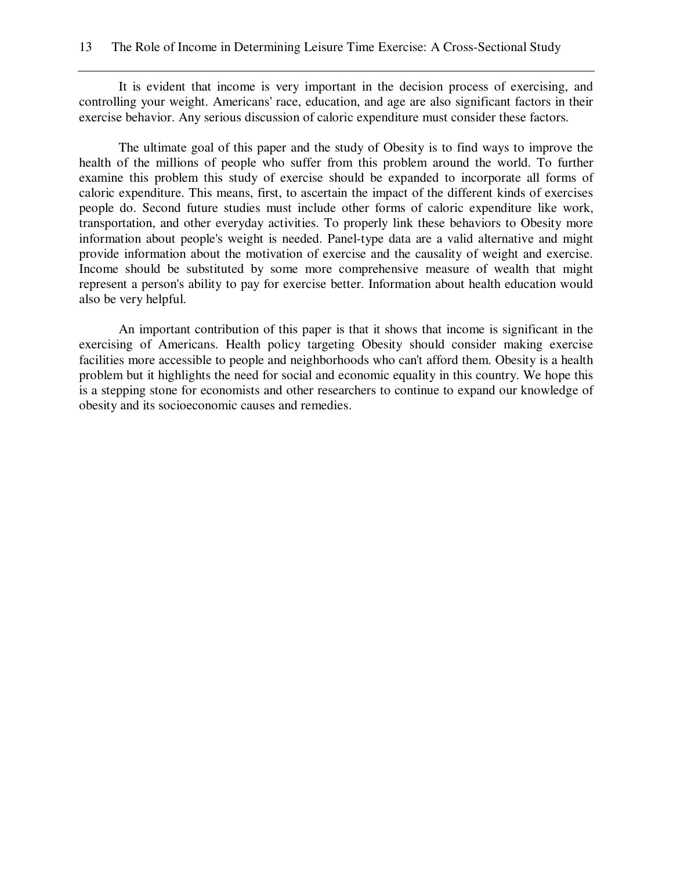It is evident that income is very important in the decision process of exercising, and controlling your weight. Americans' race, education, and age are also significant factors in their exercise behavior. Any serious discussion of caloric expenditure must consider these factors.

The ultimate goal of this paper and the study of Obesity is to find ways to improve the health of the millions of people who suffer from this problem around the world. To further examine this problem this study of exercise should be expanded to incorporate all forms of caloric expenditure. This means, first, to ascertain the impact of the different kinds of exercises people do. Second future studies must include other forms of caloric expenditure like work, transportation, and other everyday activities. To properly link these behaviors to Obesity more information about people's weight is needed. Panel-type data are a valid alternative and might provide information about the motivation of exercise and the causality of weight and exercise. Income should be substituted by some more comprehensive measure of wealth that might represent a person's ability to pay for exercise better. Information about health education would also be very helpful.

An important contribution of this paper is that it shows that income is significant in the exercising of Americans. Health policy targeting Obesity should consider making exercise facilities more accessible to people and neighborhoods who can't afford them. Obesity is a health problem but it highlights the need for social and economic equality in this country. We hope this is a stepping stone for economists and other researchers to continue to expand our knowledge of obesity and its socioeconomic causes and remedies.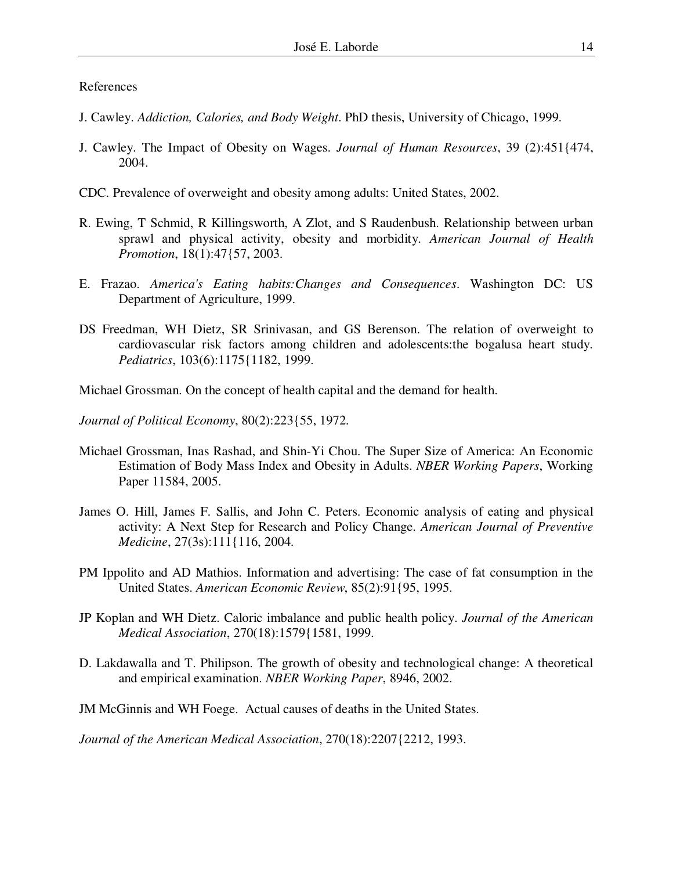# References

- J. Cawley. *Addiction, Calories, and Body Weight*. PhD thesis, University of Chicago, 1999.
- J. Cawley. The Impact of Obesity on Wages. *Journal of Human Resources*, 39 (2):451{474, 2004.
- CDC. Prevalence of overweight and obesity among adults: United States, 2002.
- R. Ewing, T Schmid, R Killingsworth, A Zlot, and S Raudenbush. Relationship between urban sprawl and physical activity, obesity and morbidity. *American Journal of Health Promotion*, 18(1):47{57, 2003.
- E. Frazao. *America's Eating habits:Changes and Consequences*. Washington DC: US Department of Agriculture, 1999.
- DS Freedman, WH Dietz, SR Srinivasan, and GS Berenson. The relation of overweight to cardiovascular risk factors among children and adolescents:the bogalusa heart study. *Pediatrics*, 103(6):1175{1182, 1999.
- Michael Grossman. On the concept of health capital and the demand for health.
- *Journal of Political Economy*, 80(2):223{55, 1972.
- Michael Grossman, Inas Rashad, and Shin-Yi Chou. The Super Size of America: An Economic Estimation of Body Mass Index and Obesity in Adults. *NBER Working Papers*, Working Paper 11584, 2005.
- James O. Hill, James F. Sallis, and John C. Peters. Economic analysis of eating and physical activity: A Next Step for Research and Policy Change. *American Journal of Preventive Medicine*, 27(3s):111{116, 2004.
- PM Ippolito and AD Mathios. Information and advertising: The case of fat consumption in the United States. *American Economic Review*, 85(2):91{95, 1995.
- JP Koplan and WH Dietz. Caloric imbalance and public health policy. *Journal of the American Medical Association*, 270(18):1579{1581, 1999.
- D. Lakdawalla and T. Philipson. The growth of obesity and technological change: A theoretical and empirical examination. *NBER Working Paper*, 8946, 2002.
- JM McGinnis and WH Foege. Actual causes of deaths in the United States.

*Journal of the American Medical Association*, 270(18):2207{2212, 1993.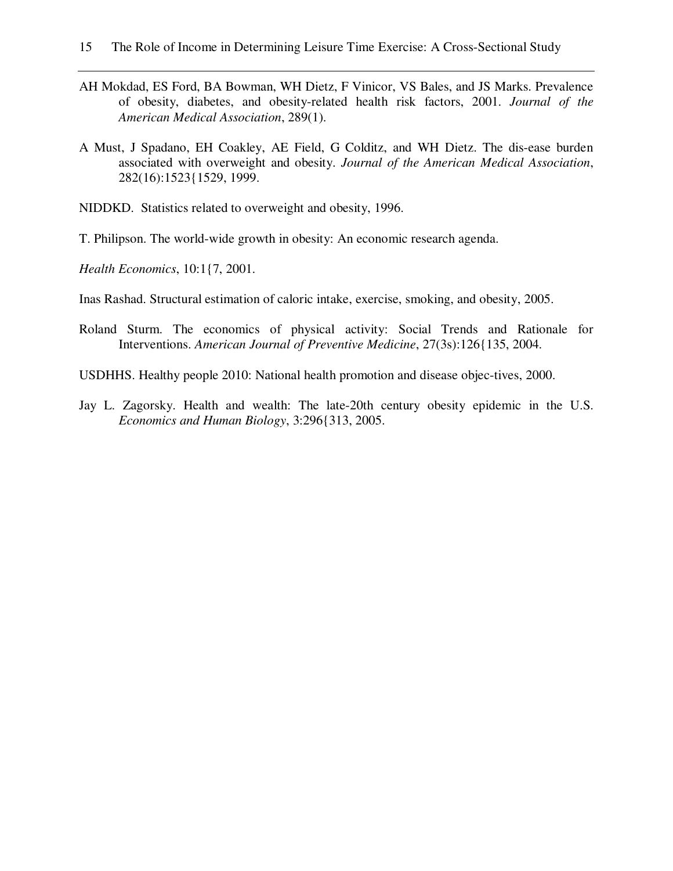- AH Mokdad, ES Ford, BA Bowman, WH Dietz, F Vinicor, VS Bales, and JS Marks. Prevalence of obesity, diabetes, and obesity-related health risk factors, 2001. *Journal of the American Medical Association*, 289(1).
- A Must, J Spadano, EH Coakley, AE Field, G Colditz, and WH Dietz. The dis-ease burden associated with overweight and obesity. *Journal of the American Medical Association*, 282(16):1523{1529, 1999.
- NIDDKD. Statistics related to overweight and obesity, 1996.
- T. Philipson. The world-wide growth in obesity: An economic research agenda.
- *Health Economics*, 10:1{7, 2001.
- Inas Rashad. Structural estimation of caloric intake, exercise, smoking, and obesity, 2005.
- Roland Sturm. The economics of physical activity: Social Trends and Rationale for Interventions. *American Journal of Preventive Medicine*, 27(3s):126{135, 2004.
- USDHHS. Healthy people 2010: National health promotion and disease objec-tives, 2000.
- Jay L. Zagorsky. Health and wealth: The late-20th century obesity epidemic in the U.S. *Economics and Human Biology*, 3:296{313, 2005.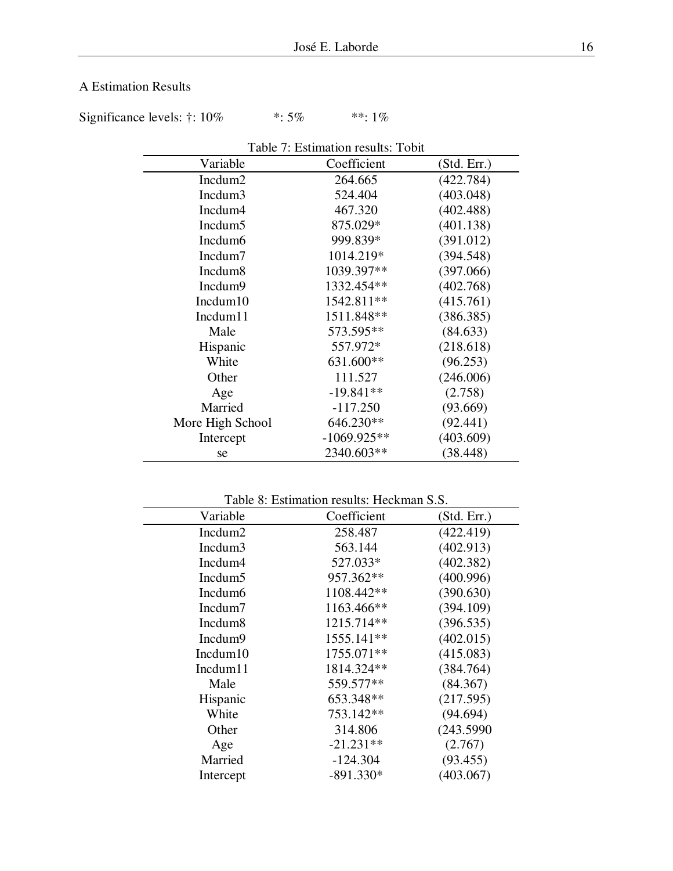# A Estimation Results

Significance levels:  $\dagger$ : 10% \*: 5% \*\*: 1%

|                     | Table 7: Estimation results: Tobit |             |
|---------------------|------------------------------------|-------------|
| Variable            | Coefficient                        | (Std. Err.) |
| Incdum <sub>2</sub> | 264.665                            | (422.784)   |
| Incdum3             | 524.404                            | (403.048)   |
| Incdum4             | 467.320                            | (402.488)   |
| Incdum <sub>5</sub> | 875.029*                           | (401.138)   |
| Incdum <sub>6</sub> | 999.839*                           | (391.012)   |
| Incdum7             | 1014.219*                          | (394.548)   |
| Incdum <sub>8</sub> | 1039.397**                         | (397.066)   |
| Incdum9             | 1332.454**                         | (402.768)   |
| Incdum10            | 1542.811**                         | (415.761)   |
| Incdum11            | 1511.848**                         | (386.385)   |
| Male                | 573.595**                          | (84.633)    |
| Hispanic            | 557.972*                           | (218.618)   |
| White               | 631.600**                          | (96.253)    |
| Other               | 111.527                            | (246.006)   |
| Age                 | $-19.841**$                        | (2.758)     |
| Married             | $-117.250$                         | (93.669)    |
| More High School    | 646.230**                          | (92.441)    |
| Intercept           | $-1069.925**$                      | (403.609)   |
| se                  | 2340.603**                         | (38.448)    |

Table 8: Estimation results: Heckman S.S.

| Coefficient | (Std. Err.) |  |
|-------------|-------------|--|
| 258.487     | (422.419)   |  |
| 563.144     | (402.913)   |  |
| 527.033*    | (402.382)   |  |
| 957.362**   | (400.996)   |  |
| 1108.442**  | (390.630)   |  |
| 1163.466**  | (394.109)   |  |
| 1215.714**  | (396.535)   |  |
| 1555.141**  | (402.015)   |  |
| 1755.071**  | (415.083)   |  |
| 1814.324**  | (384.764)   |  |
| 559.577**   | (84.367)    |  |
| 653.348**   | (217.595)   |  |
| 753.142**   | (94.694)    |  |
| 314.806     | (243.5990)  |  |
| $-21.231**$ | (2.767)     |  |
| $-124.304$  | (93.455)    |  |
| $-891.330*$ | (403.067)   |  |
|             |             |  |